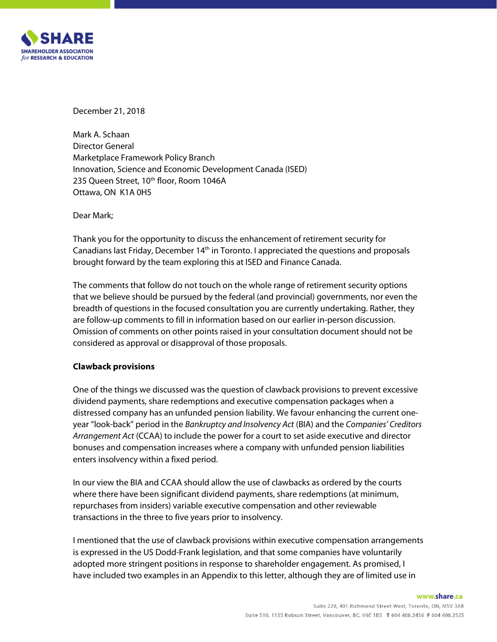

December 21, 2018

Mark A. Schaan Director General Marketplace Framework Policy Branch Innovation, Science and Economic Development Canada (ISED) 235 Queen Street, 10<sup>th</sup> floor, Room 1046A Ottawa, ON K1A 0H5

Dear Mark;

Thank you for the opportunity to discuss the enhancement of retirement security for Canadians last Friday, December 14<sup>th</sup> in Toronto. I appreciated the questions and proposals brought forward by the team exploring this at ISED and Finance Canada.

The comments that follow do not touch on the whole range of retirement security options that we believe should be pursued by the federal (and provincial) governments, nor even the breadth of questions in the focused consultation you are currently undertaking. Rather, they are follow-up comments to fill in information based on our earlier in-person discussion. Omission of comments on other points raised in your consultation document should not be considered as approval or disapproval of those proposals.

# **Clawback provisions**

One of the things we discussed was the question of clawback provisions to prevent excessive dividend payments, share redemptions and executive compensation packages when a distressed company has an unfunded pension liability. We favour enhancing the current one year "look-back" period in the *Bankruptcy and Insolvency Act* (BIA) and the *Companies' Creditors Arrangement Act* (CCAA) to include the power for a court to set aside executive and director bonuses and compensation increases where a company with unfunded pension liabilities enters insolvency within a fixed period.

In our view the BIA and CCAA should allow the use of clawbacks as ordered by the courts where there have been significant dividend payments, share redemptions (at minimum, repurchases from insiders) variable executive compensation and other reviewable transactions in the three to five years prior to insolvency.

I mentioned that the use of clawback provisions within executive compensation arrangements is expressed in the US Dodd-Frank legislation, and that some companies have voluntarily adopted more stringent positions in response to shareholder engagement. As promised, I have included two examples in an Appendix to this letter, although they are of limited use in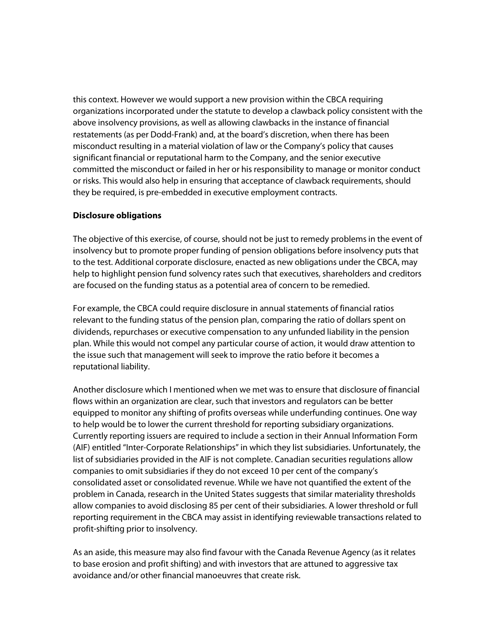this context. However we would support a new provision within the CBCA requiring organizations incorporated under the statute to develop a clawback policy consistent with the above insolvency provisions, as well as allowing clawbacks in the instance of financial restatements (as per Dodd-Frank) and, at the board's discretion, when there has been misconduct resulting in a material violation of law or the Company's policy that causes significant financial or reputational harm to the Company, and the senior executive committed the misconduct or failed in her or his responsibility to manage or monitor conduct or risks. This would also help in ensuring that acceptance of clawback requirements, should they be required, is pre-embedded in executive employment contracts.

### **Disclosure obligations**

The objective of this exercise, of course, should not be just to remedy problems in the event of insolvency but to promote proper funding of pension obligations before insolvency puts that to the test. Additional corporate disclosure, enacted as new obligations under the CBCA, may help to highlight pension fund solvency rates such that executives, shareholders and creditors are focused on the funding status as a potential area of concern to be remedied.

For example, the CBCA could require disclosure in annual statements of financial ratios relevant to the funding status of the pension plan, comparing the ratio of dollars spent on dividends, repurchases or executive compensation to any unfunded liability in the pension plan. While this would not compel any particular course of action, it would draw attention to the issue such that management will seek to improve the ratio before it becomes a reputational liability.

Another disclosure which I mentioned when we met was to ensure that disclosure of financial flows within an organization are clear, such that investors and regulators can be better equipped to monitor any shifting of profits overseas while underfunding continues. One way to help would be to lower the current threshold for reporting subsidiary organizations. Currently reporting issuers are required to include a section in their Annual Information Form (AIF) entitled "Inter-Corporate Relationships" in which they list subsidiaries. Unfortunately, the list of subsidiaries provided in the AIF is not complete. Canadian securities regulations allow companies to omit subsidiaries if they do not exceed 10 per cent of the company's consolidated asset or consolidated revenue. While we have not quantified the extent of the problem in Canada, research in the United States suggests that similar materiality thresholds allow companies to avoid disclosing 85 per cent of their subsidiaries. A lower threshold or full reporting requirement in the CBCA may assist in identifying reviewable transactions related to profit-shifting prior to insolvency.

As an aside, this measure may also find favour with the Canada Revenue Agency (as it relates to base erosion and profit shifting) and with investors that are attuned to aggressive tax avoidance and/or other financial manoeuvres that create risk.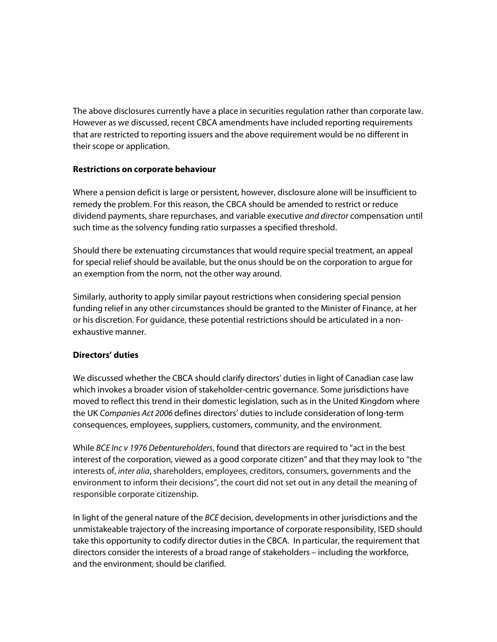The above disclosures currently have a place in securities regulation rather than corporate law. However as we discussed, recent CBCA amendments have included reporting requirements that are restricted to reporting issuers and the above requirement would be no different in their scope or application.

# **Restrictions on corporate behaviour**

Where a pension deficit is large or persistent, however, disclosure alone will be insufficient to remedy the problem. For this reason, the CBCA should be amended to restrict or reduce dividend payments, share repurchases, and variable executive *and director* compensation until such time as the solvency funding ratio surpasses a specified threshold.

Should there be extenuating circumstances that would require special treatment, an appeal for special relief should be available, but the onus should be on the corporation to argue for an exemption from the norm, not the other way around.

Similarly, authority to apply similar payout restrictions when considering special pension funding relief in any other circumstances should be granted to the Minister of Finance, at her or his discretion. For guidance, these potential restrictions should be articulated in a non exhaustive manner.

# **Directors' duties**

We discussed whether the CBCA should clarify directors' duties in light of Canadian case law which invokes a broader vision of stakeholder-centric governance. Some jurisdictions have moved to reflect this trend in their domestic legislation, such as in the United Kingdom where the UK *Companies Act 2006* defines directors' duties to include consideration of long-term consequences, employees, suppliers, customers, community, and the environment.

While *BCE Inc v 1976 Debentureholders*, found that directors are required to "act in the best interest of the corporation, viewed as a good corporate citizen" and that they may look to "the interests of, *inter alia*, shareholders, employees, creditors, consumers, governments and the environment to inform their decisions", the court did not set out in any detail the meaning of responsible corporate citizenship.

In light of the general nature of the *BCE* decision, developments in other jurisdictions and the unmistakeable trajectory of the increasing importance of corporate responsibility, ISED should take this opportunity to codify director duties in the CBCA. In particular, the requirement that directors consider the interests of a broad range of stakeholders – including the workforce, and the environment, should be clarified.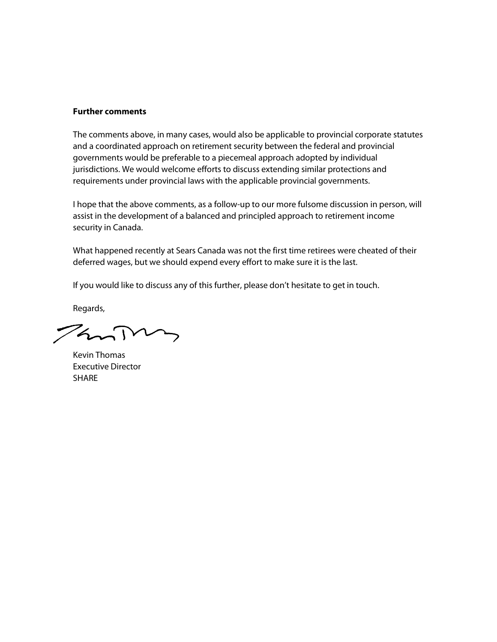### **Further comments**

The comments above, in many cases, would also be applicable to provincial corporate statutes and a coordinated approach on retirement security between the federal and provincial governments would be preferable to a piecemeal approach adopted by individual jurisdictions. We would welcome efforts to discuss extending similar protections and requirements under provincial laws with the applicable provincial governments.

I hope that the above comments, as a follow-up to our more fulsome discussion in person, will assist in the development of a balanced and principled approach to retirement income security in Canada.

What happened recently at Sears Canada was not the first time retirees were cheated of their deferred wages, but we should expend every effort to make sure it is the last.

If you would like to discuss any of this further, please don't hesitate to get in touch.

Regards,

FanTury

Kevin Thomas Executive Director SHARE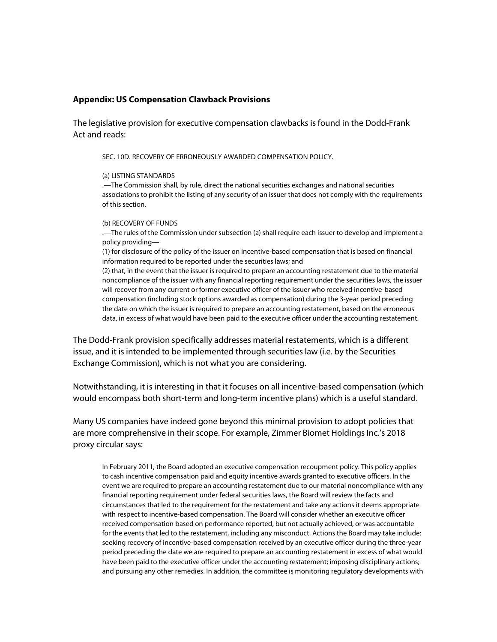### **Appendix: US Compensation Clawback Provisions**

The legislative provision for executive compensation clawbacks is found in the Dodd-Frank Act and reads:

SEC. 10D. RECOVERY OF ERRONEOUSLY AWARDED COMPENSATION POLICY.

#### (a) LISTING STANDARDS

.—The Commission shall, by rule, direct the national securities exchanges and national securities associations to prohibit the listing of any security of an issuer that does not comply with the requirements of this section.

#### (b) RECOVERY OF FUNDS

.—The rules of the Commission under subsection (a) shall require each issuer to develop and implement a policy providing—

(1) for disclosure of the policy of the issuer on incentive-based compensation that is based on financial information required to be reported under the securities laws; and

(2) that, in the event that the issuer is required to prepare an accounting restatement due to the material noncompliance of the issuer with any financial reporting requirement under the securities laws, the issuer will recover from any current or former executive officer of the issuer who received incentive-based compensation (including stock options awarded as compensation) during the 3-year period preceding the date on which the issuer is required to prepare an accounting restatement, based on the erroneous data, in excess of what would have been paid to the executive officer under the accounting restatement.

The Dodd-Frank provision specifically addresses material restatements, which is a different issue, and it is intended to be implemented through securities law (i.e. by the Securities Exchange Commission), which is not what you are considering.

Notwithstanding, it is interesting in that it focuses on all incentive-based compensation (which would encompass both short-term and long-term incentive plans) which is a useful standard.

Many US companies have indeed gone beyond this minimal provision to adopt policies that are more comprehensive in their scope. For example, Zimmer Biomet Holdings Inc.'s 2018 proxy circular says:

In February 2011, the Board adopted an executive compensation recoupment policy. This policy applies to cash incentive compensation paid and equity incentive awards granted to executive officers. In the event we are required to prepare an accounting restatement due to our material noncompliance with any financial reporting requirement under federal securities laws, the Board will review the facts and circumstances that led to the requirement for the restatement and take any actions it deems appropriate with respect to incentive-based compensation. The Board will consider whether an executive officer received compensation based on performance reported, but not actually achieved, or was accountable for the events that led to the restatement, including any misconduct. Actions the Board may take include: seeking recovery of incentive-based compensation received by an executive officer during the three-year period preceding the date we are required to prepare an accounting restatement in excess of what would have been paid to the executive officer under the accounting restatement; imposing disciplinary actions; and pursuing any other remedies. In addition, the committee is monitoring regulatory developments with